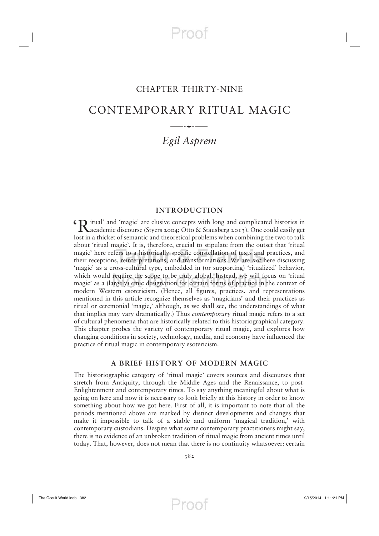### CHAPTER THIRTY-NINE

### CONTEMPORARY RITUAL MAGIC

### *Egil Asprem*

### **INTRODUCTION**

'Ritual' and 'magic' are elusive concepts with long and complicated histories in academic discourse (Styers 2004; Otto & Stausberg 2013). One could easily get lost in a thicket of semantic and theoretical problems when combining the two to talk about 'ritual magic'. It is, therefore, crucial to stipulate from the outset that 'ritual magic' here refers to a historically specifi c constellation of texts and practices, and their receptions, reinterpretations, and transformations. We are *not* here discussing 'magic' as a cross-cultural type, embedded in (or supporting) 'ritualized' behavior, which would require the scope to be truly global. Instead, we will focus on 'ritual magic' as a (largely) emic designation for certain forms of practice in the context of modern Western esotericism. (Hence, all figures, practices, and representations mentioned in this article recognize themselves as 'magicians' and their practices as ritual or ceremonial 'magic,' although, as we shall see, the understandings of what that implies may vary dramatically.) Thus *contemporary* ritual magic refers to a set of cultural phenomena that are historically related to this historiographical category. This chapter probes the variety of contemporary ritual magic, and explores how changing conditions in society, technology, media, and economy have influenced the practice of ritual magic in contemporary esotericism.

#### **A BRIEF HISTORY OF MODERN MAGIC**

The historiographic category of 'ritual magic' covers sources and discourses that stretch from Antiquity, through the Middle Ages and the Renaissance, to post-Enlightenment and contemporary times. To say anything meaningful about what is going on here and now it is necessary to look briefly at this history in order to know something about how we got here. First of all, it is important to note that all the periods mentioned above are marked by distinct developments and changes that make it impossible to talk of a stable and uniform 'magical tradition,' with contemporary custodians. Despite what some contemporary practitioners might say, there is no evidence of an unbroken tradition of ritual magic from ancient times until today. That, however, does not mean that there is no continuity whatsoever: certain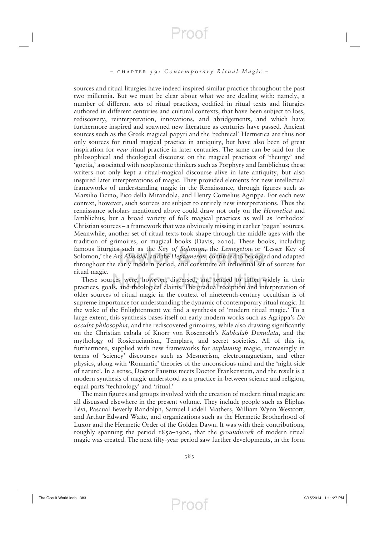#### *–* chapter 39: *Contemporary Ritual Magic –*

sources and ritual liturgies have indeed inspired similar practice throughout the past two millennia. But we must be clear about what we are dealing with: namely, a number of different sets of ritual practices, codified in ritual texts and liturgies authored in different centuries and cultural contexts, that have been subject to loss, rediscovery, reinterpretation, innovations, and abridgements, and which have furthermore inspired and spawned new literature as centuries have passed. Ancient sources such as the Greek magical papyri and the 'technical' Hermetica are thus not only sources for ritual magical practice in antiquity, but have also been of great inspiration for *new* ritual practice in later centuries. The same can be said for the philosophical and theological discourse on the magical practices of 'theurgy' and 'goetia,' associated with neoplatonic thinkers such as Porphyry and Iamblichus; these writers not only kept a ritual-magical discourse alive in late antiquity, but also inspired later interpretations of magic. They provided elements for new intellectual frameworks of understanding magic in the Renaissance, through figures such as Marsilio Ficino, Pico della Mirandola, and Henry Cornelius Agrippa. For each new context, however, such sources are subject to entirely new interpretations. Thus the renaissance scholars mentioned above could draw not only on the *Hermetica* and Iamblichus, but a broad variety of folk magical practices as well as 'orthodox' Christian sources – a framework that was obviously missing in earlier 'pagan' sources. Meanwhile, another set of ritual texts took shape through the middle ages with the tradition of grimoires, or magical books (Davis, 2010). These books, including famous liturgies such as the *Key of Solomon*, the *Lemegeton* or 'Lesser Key of Solomon,' the *Ars Almadel*, and the *Heptameron*, continued to be copied and adapted throughout the early modern period, and constitute an influential set of sources for ritual magic.

These sources were, however, dispersed, and tended to differ widely in their practices, goals, and theological claims. The gradual reception and interpretation of older sources of ritual magic in the context of nineteenth-century occultism is of supreme importance for understanding the dynamic of contemporary ritual magic. In the wake of the Enlightenment we find a synthesis of 'modern ritual magic.' To a large extent, this synthesis bases itself on early-modern works such as Agrippa's *De occulta philosophia*, and the rediscovered grimoires, while also drawing significantly on the Christian cabala of Knorr von Rosenroth's *Kabbalah Denudata*, and the mythology of Rosicrucianism, Templars, and secret societies. All of this is, furthermore, supplied with new frameworks for *explaining* magic, increasingly in terms of 'sciency' discourses such as Mesmerism, electromagnetism, and ether physics, along with 'Romantic' theories of the unconscious mind and the 'night-side of nature'. In a sense, Doctor Faustus meets Doctor Frankenstein, and the result is a modern synthesis of magic understood as a practice in-between science and religion, equal parts 'technology' and 'ritual.'

The main figures and groups involved with the creation of modern ritual magic are all discussed elsewhere in the present volume. They include people such as Éliphas Lévi, Pascual Beverly Randolph, Samuel Liddell Mathers, William Wynn Westcott, and Arthur Edward Waite, and organizations such as the Hermetic Brotherhood of Luxor and the Hermetic Order of the Golden Dawn. It was with their contributions, roughly spanning the period 1850–1900, that the *groundwork* of modern ritual magic was created. The next fifty-year period saw further developments, in the form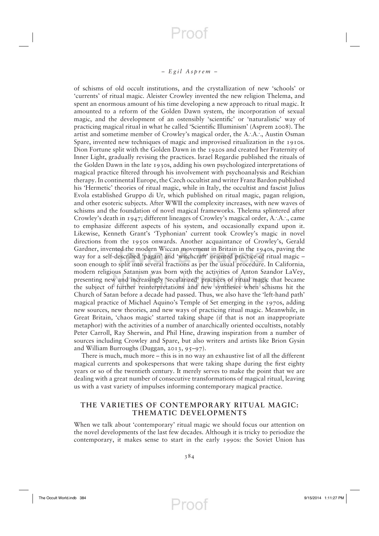Proot

of schisms of old occult institutions, and the crystallization of new 'schools' or 'currents' of ritual magic. Aleister Crowley invented the new religion Thelema, and spent an enormous amount of his time developing a new approach to ritual magic. It amounted to a reform of the Golden Dawn system, the incorporation of sexual magic, and the development of an ostensibly 'scientific' or 'naturalistic' way of practicing magical ritual in what he called 'Scientific Illuminism' (Asprem 2008). The artist and sometime member of Crowley's magical order, the A. A., Austin Osman Spare, invented new techniques of magic and improvised ritualization in the 1910s. Dion Fortune split with the Golden Dawn in the 1920s and created her Fraternity of Inner Light, gradually revising the practices. Israel Regardie published the rituals of the Golden Dawn in the late 1930s, adding his own psychologized interpretations of magical practice filtered through his involvement with psychoanalysis and Reichian therapy. In continental Europe, the Czech occultist and writer Franz Bardon published his 'Hermetic' theories of ritual magic, while in Italy, the occultist and fascist Julius Evola established Gruppo di Ur, which published on ritual magic, pagan religion, and other esoteric subjects. After WWII the complexity increases, with new waves of schisms and the foundation of novel magical frameworks. Thelema splintered after Crowley's death in 1947; different lineages of Crowley's magical order, A. A., came to emphasize different aspects of his system, and occasionally expand upon it. Likewise, Kenneth Grant's 'Typhonian' current took Crowley's magic in novel directions from the 1950s onwards. Another acquaintance of Crowley's, Gerald Gardner, invented the modern Wiccan movement in Britain in the 1940s, paving the way for a self-described 'pagan' and 'witchcraft' oriented practice of ritual magic – soon enough to split into several fractions as per the usual procedure. In California, modern religious Satanism was born with the activities of Anton Szandor LaVey, presenting new and increasingly 'secularized' practices of ritual magic that became the subject of further reinterpretations and new syntheses when schisms hit the Church of Satan before a decade had passed. Thus, we also have the 'left-hand path' magical practice of Michael Aquino's Temple of Set emerging in the 1970s, adding new sources, new theories, and new ways of practicing ritual magic. Meanwhile, in Great Britain, 'chaos magic' started taking shape (if that is not an inappropriate metaphor) with the activities of a number of anarchically oriented occultists, notably Peter Carroll, Ray Sherwin, and Phil Hine, drawing inspiration from a number of sources including Crowley and Spare, but also writers and artists like Brion Gysin and William Burroughs (Duggan, 2013, 95–97).

There is much, much more – this is in no way an exhaustive list of all the different magical currents and spokespersons that were taking shape during the first eighty years or so of the twentieth century. It merely serves to make the point that we are dealing with a great number of consecutive transformations of magical ritual, leaving us with a vast variety of impulses informing contemporary magical practice.

#### **THE VARIETIES OF CONTEMPORARY RITUAL MAGIC: THEMATIC DEVELOPMENTS**

When we talk about 'contemporary' ritual magic we should focus our attention on the novel developments of the last few decades. Although it is tricky to periodize the contemporary, it makes sense to start in the early 1990s: the Soviet Union has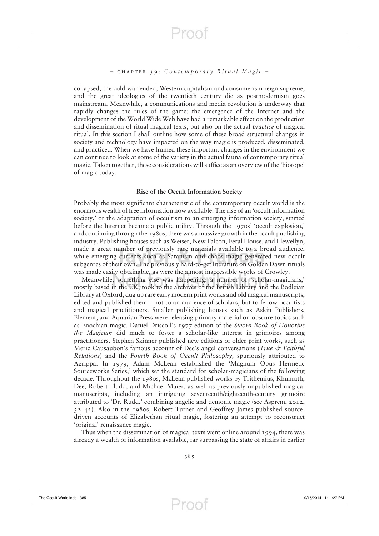#### *–* chapter 39: *Contemporary Ritual Magic –*

collapsed, the cold war ended, Western capitalism and consumerism reign supreme, and the great ideologies of the twentieth century die as postmodernism goes mainstream. Meanwhile, a communications and media revolution is underway that rapidly changes the rules of the game: the emergence of the Internet and the development of the World Wide Web have had a remarkable effect on the production and dissemination of ritual magical texts, but also on the actual *practice* of magical ritual. In this section I shall outline how some of these broad structural changes in society and technology have impacted on the way magic is produced, disseminated, and practiced. When we have framed these important changes in the environment we can continue to look at some of the variety in the actual fauna of contemporary ritual magic. Taken together, these considerations will suffice as an overview of the 'biotope' of magic today.

#### **Rise of the Occult Information Society**

Probably the most significant characteristic of the contemporary occult world is the enormous wealth of free information now available. The rise of an 'occult information society,' or the adaptation of occultism to an emerging information society, started before the Internet became a public utility. Through the 1970s' 'occult explosion,' and continuing through the 1980s, there was a massive growth in the occult publishing industry. Publishing houses such as Weiser, New Falcon, Feral House, and Llewellyn, made a great number of previously rare materials available to a broad audience, while emerging currents such as Satanism and chaos magic generated new occult subgenres of their own. The previously hard-to-get literature on Golden Dawn rituals was made easily obtainable, as were the almost inaccessible works of Crowley.

Meanwhile, something else was happening: a number of 'scholar-magicians,' mostly based in the UK, took to the archives of the British Library and the Bodleian Library at Oxford, dug up rare early modern print works and old magical manuscripts, edited and published them – not to an audience of scholars, but to fellow occultists and magical practitioners. Smaller publishing houses such as Askin Publishers, Element, and Aquarian Press were releasing primary material on obscure topics such as Enochian magic. Daniel Driscoll's 1977 edition of the *Sworn Book of Honorius the Magician* did much to foster a scholar-like interest in grimoires among practitioners. Stephen Skinner published new editions of older print works, such as Meric Causaubon's famous account of Dee's angel conversations (*True & Faithful Relations*) and the *Fourth Book of Occult Philosophy,* spuriously attributed to Agrippa. In 1979, Adam McLean established the 'Magnum Opus Hermetic Sourceworks Series,' which set the standard for scholar-magicians of the following decade. Throughout the 1980s, McLean published works by Trithemius, Khunrath, Dee, Robert Fludd, and Michael Maier, as well as previously unpublished magical manuscripts, including an intriguing seventeenth/eighteenth-century grimoire attributed to 'Dr. Rudd,' combining angelic and demonic magic (see Asprem, 2012, 32–42). Also in the 1980s, Robert Turner and Geoffrey James published sourcedriven accounts of Elizabethan ritual magic, fostering an attempt to reconstruct 'original' renaissance magic.

Thus when the dissemination of magical texts went online around 1994, there was already a wealth of information available, far surpassing the state of affairs in earlier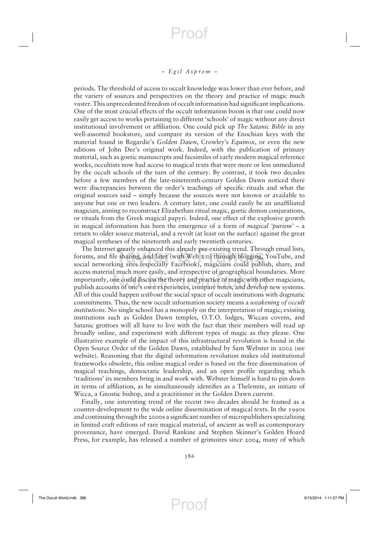#### *– Egil Asprem –*

periods. The threshold of access to occult knowledge was lower than ever before, and the variety of sources and perspectives on the theory and practice of magic much vaster. This unprecedented freedom of occult information had significant implications. One of the most crucial effects of the occult information boom is that one could now easily get access to works pertaining to different 'schools' of magic without any direct institutional involvement or affiliation. One could pick up *The Satanic Bible* in any well-assorted bookstore, and compare its version of the Enochian keys with the material found in Regardie's *Golden Dawn*, Crowley's *Equinox*, or even the new editions of John Dee's original work. Indeed, with the publication of primary material, such as goetic manuscripts and facsimiles of early modern magical reference works, occultists now had access to magical texts that were more or less unmediated by the occult schools of the turn of the century. By contrast, it took two decades before a few members of the late-nineteenth-century Golden Dawn noticed there were discrepancies between the order's teachings of specific rituals and what the original sources said – simply because the sources were not known or available to anyone but one or two leaders. A century later, one could easily be an unaffiliated magician, aiming to reconstruct Elizabethan ritual magic, goetic demon conjurations, or rituals from the Greek magical papyri. Indeed, one effect of the explosive growth in magical information has been the emergence of a form of *magical 'purism'* – a return to older source material, and a revolt (at least on the surface) against the great magical syntheses of the nineteenth and early twentieth centuries.

The Internet greatly enhanced this already pre-existing trend. Through email lists, forums, and file sharing, and later (with Web 2.0) through blogging, YouTube, and social networking sites (especially Facebook), magicians could publish, share, and access material much more easily, and irrespective of geographical boundaries. More importantly, one could discuss the theory and practice of magic with other magicians, publish accounts of one's own experiences, compare notes, and develop new systems. All of this could happen *without* the social space of occult institutions with dogmatic commitments. Thus, the new occult information society means a *weakening of occult institutions*. No single school has a monopoly on the interpretation of magic; existing institutions such as Golden Dawn temples, O.T.O. lodges, Wiccan covens, and Satanic grottoes will all have to live with the fact that their members will read up broadly online, and experiment with different types of magic as they please. One illustrative example of the impact of this infrastructural revolution is found in the Open Source Order of the Golden Dawn, established by Sam Webster in 2002 (see website). Reasoning that the digital information revolution makes old institutional frameworks obsolete, this online magical order is based on the free dissemination of magical teachings, democratic leadership, and an open profile regarding which 'traditions' its members bring in and work with. Webster himself is hard to pin down in terms of affiliation, as he simultaneously identifies as a Thelemite, an initiate of Wicca, a Gnostic bishop, and a practitioner in the Golden Dawn current.

Finally, one interesting trend of the recent two decades should be framed as a counter-development to the wide online dissemination of magical texts. In the 1990s and continuing through the 2000s a significant number of micropublishers specializing in limited craft editions of rare magical material, of ancient as well as contemporary provenance, have emerged. David Rankine and Stephen Skinner's Golden Hoard Press, for example, has released a number of grimoires since 2004, many of which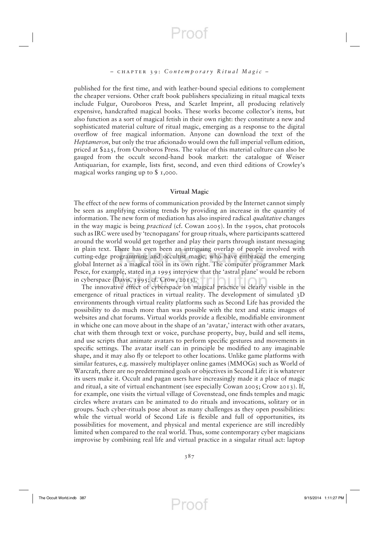#### *–* chapter 39: *Contemporary Ritual Magic –*

published for the first time, and with leather-bound special editions to complement the cheaper versions. Other craft book publishers specializing in ritual magical texts include Fulgur, Ouroboros Press, and Scarlet Imprint, all producing relatively expensive, handcrafted magical books. These works become collector's items, but also function as a sort of magical fetish in their own right: they constitute a new and sophisticated material culture of ritual magic, emerging as a response to the digital overflow of free magical information. Anyone can download the text of the *Heptameron*, but only the true aficionado would own the full imperial vellum edition, priced at \$225, from Ouroboros Press. The value of this material culture can also be gauged from the occult second-hand book market: the catalogue of Weiser Antiquarian, for example, lists first, second, and even third editions of Crowley's magical works ranging up to \$ 1,000.

#### **Virtual Magic**

The effect of the new forms of communication provided by the Internet cannot simply be seen as amplifying existing trends by providing an increase in the quantity of information. The new form of mediation has also inspired radical *qualitative* changes in the way magic is being *practiced* (cf. Cowan 2005). In the 1990s, chat protocols such as IRC were used by 'tecnopagans' for group rituals, where participants scattered around the world would get together and play their parts through instant messaging in plain text. There has even been an intriguing overlap of people involved with cutting-edge programming and occultist magic, who have embraced the emerging global Internet as a magical tool in its own right. The computer programmer Mark Pesce, for example, stated in a 1995 interview that the 'astral plane' would be reborn in cyberspace (Davis, 1995; cf. Crow, 2013).

The innovative effect of cyberspace on magical practice is clearly visible in the emergence of ritual practices in virtual reality. The development of simulated 3D environments through virtual reality platforms such as Second Life has provided the possibility to do much more than was possible with the text and static images of websites and chat forums. Virtual worlds provide a flexible, modifiable environment in whiche one can move about in the shape of an 'avatar,' interact with other avatars, chat with them through text or voice, purchase property, buy, build and sell items, and use scripts that animate avatars to perform specific gestures and movements in specific settings. The avatar itself can in principle be modified to any imaginable shape, and it may also fly or teleport to other locations. Unlike game platforms with similar features, e.g. massively multiplayer online games (MMOGs) such as World of Warcraft, there are no predetermined goals or objectives in Second Life: it is whatever its users make it. Occult and pagan users have increasingly made it a place of magic and ritual, a site of virtual enchantment (see especially Cowan 2005; Crow 2013). If, for example, one visits the virtual village of Covenstead, one finds temples and magic circles where avatars can be animated to do rituals and invocations, solitary or in groups. Such cyber-rituals pose about as many challenges as they open possibilities: while the virtual world of Second Life is flexible and full of opportunities, its possibilities for movement, and physical and mental experience are still incredibly limited when compared to the real world. Thus, some contemporary cyber magicians improvise by combining real life and virtual practice in a singular ritual act: laptop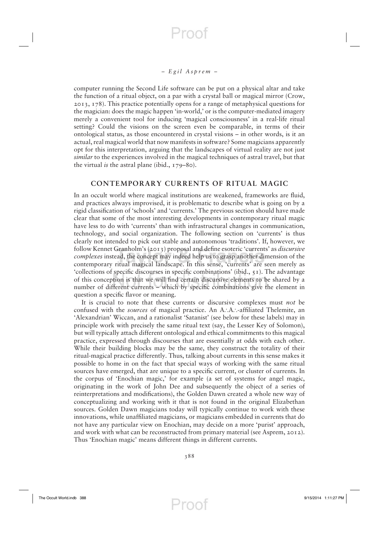#### *– Egil Asprem –*

computer running the Second Life software can be put on a physical altar and take the function of a ritual object, on a par with a crystal ball or magical mirror (Crow, 2013, 178). This practice potentially opens for a range of metaphysical questions for the magician: does the magic happen 'in-world,' or is the computer-mediated imagery merely a convenient tool for inducing 'magical consciousness' in a real-life ritual setting? Could the visions on the screen even be comparable, in terms of their ontological status, as those encountered in crystal visions – in other words, is it an actual, real magical world that now manifests in software? Some magicians apparently opt for this interpretation, arguing that the landscapes of virtual reality are not just *similar* to the experiences involved in the magical techniques of astral travel, but that the virtual *is* the astral plane (ibid., 179–80).

#### **CONTEMPORARY CURRENTS OF RITUAL MAGIC**

In an occult world where magical institutions are weakened, frameworks are fluid, and practices always improvised, it is problematic to describe what is going on by a rigid classification of 'schools' and 'currents.' The previous section should have made clear that some of the most interesting developments in contemporary ritual magic have less to do with 'currents' than with infrastructural changes in communication, technology, and social organization. The following section on 'currents' is thus clearly not intended to pick out stable and autonomous 'traditions'. If, however, we follow Kennet Granholm's (2013) proposal and define esoteric 'currents' as *discursive complexes* instead, the concept may indeed help us to grasp another dimension of the contemporary ritual magical landscape. In this sense, 'currents' are seen merely as 'collections of specific discourses in specific combinations' (ibid.,  $\zeta$ 1). The advantage of this conception is that we will find certain discursive elements to be shared by a number of different currents – which by specific combinations give the element in question a specific flavor or meaning.

It is crucial to note that these currents or discursive complexes must *not* be confused with the *sources* of magical practice. An A. A. -affiliated Thelemite, an 'Alexandrian' Wiccan, and a rationalist 'Satanist' (see below for these labels) may in principle work with precisely the same ritual text (say, the Lesser Key of Solomon), but will typically attach different ontological and ethical commitments to this magical practice, expressed through discourses that are essentially at odds with each other. While their building blocks may be the same, they construct the totality of their ritual-magical practice differently. Thus, talking about currents in this sense makes it possible to home in on the fact that special ways of working with the same ritual sources have emerged, that are unique to a specific current, or cluster of currents. In the corpus of 'Enochian magic,' for example (a set of systems for angel magic, originating in the work of John Dee and subsequently the object of a series of reinterpretations and modifications), the Golden Dawn created a whole new way of conceptualizing and working with it that is not found in the original Elizabethan sources. Golden Dawn magicians today will typically continue to work with these innovations, while unaffiliated magicians, or magicians embedded in currents that do not have any particular view on Enochian, may decide on a more 'purist' approach, and work with what can be reconstructed from primary material (see Asprem, 2012). Thus 'Enochian magic' means different things in different currents.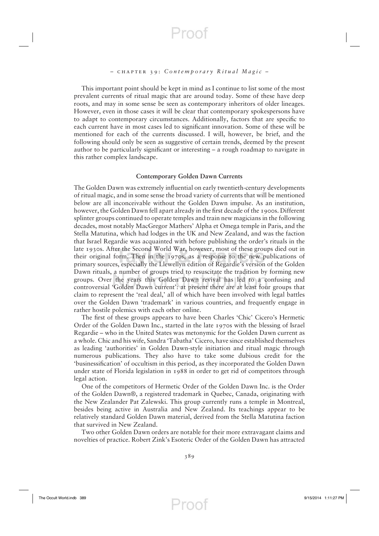#### *–* chapter 39: *Contemporary Ritual Magic –*

This important point should be kept in mind as I continue to list some of the most prevalent currents of ritual magic that are around today. Some of these have deep roots, and may in some sense be seen as contemporary inheritors of older lineages. However, even in those cases it will be clear that contemporary spokespersons have to adapt to contemporary circumstances. Additionally, factors that are specifi c to each current have in most cases led to significant innovation. Some of these will be mentioned for each of the currents discussed. I will, however, be brief, and the following should only be seen as suggestive of certain trends, deemed by the present author to be particularly significant or interesting  $-$  a rough roadmap to navigate in this rather complex landscape.

#### **Contemporary Golden Dawn Currents**

The Golden Dawn was extremely influential on early twentieth-century developments of ritual magic, and in some sense the broad variety of currents that will be mentioned below are all inconceivable without the Golden Dawn impulse. As an institution, however, the Golden Dawn fell apart already in the first decade of the 1900s. Different splinter groups continued to operate temples and train new magicians in the following decades, most notably MacGregor Mathers' Alpha et Omega temple in Paris, and the Stella Matutina, which had lodges in the UK and New Zealand, and was the faction that Israel Regardie was acquainted with before publishing the order's rituals in the late 1930s. After the Second World War, however, most of these groups died out in their original form. Then in the 1970s, as a response to the new publications of primary sources, especially the Llewellyn edition of Regardie's version of the Golden Dawn rituals, a number of groups tried to resuscitate the tradition by forming new groups. Over the years this Golden Dawn revival has led to a confusing and controversial 'Golden Dawn current': at present there are at least four groups that claim to represent the 'real deal,' all of which have been involved with legal battles over the Golden Dawn 'trademark' in various countries, and frequently engage in rather hostile polemics with each other online.

The first of these groups appears to have been Charles 'Chic' Cicero's Hermetic Order of the Golden Dawn Inc., started in the late 1970s with the blessing of Israel Regardie – who in the United States was metonymic for the Golden Dawn current as a whole. Chic and his wife, Sandra 'Tabatha' Cicero, have since established themselves as leading 'authorities' in Golden Dawn-style initiation and ritual magic through numerous publications. They also have to take some dubious credit for the 'businessification' of occultism in this period, as they incorporated the Golden Dawn under state of Florida legislation in 1988 in order to get rid of competitors through legal action.

One of the competitors of Hermetic Order of the Golden Dawn Inc. is the Order of the Golden Dawn®, a registered trademark in Quebec, Canada, originating with the New Zealander Pat Zalewski. This group currently runs a temple in Montreal, besides being active in Australia and New Zealand. Its teachings appear to be relatively standard Golden Dawn material, derived from the Stella Matutina faction that survived in New Zealand.

Two other Golden Dawn orders are notable for their more extravagant claims and novelties of practice. Robert Zink's Esoteric Order of the Golden Dawn has attracted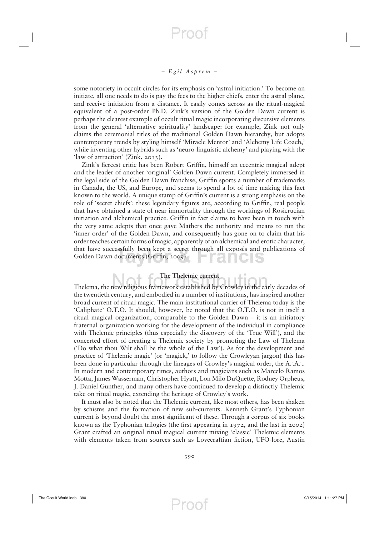Proot

some notoriety in occult circles for its emphasis on 'astral initiation.' To become an initiate, all one needs to do is pay the fees to the higher chiefs, enter the astral plane, and receive initiation from a distance. It easily comes across as the ritual-magical equivalent of a post-order Ph.D. Zink's version of the Golden Dawn current is perhaps the clearest example of occult ritual magic incorporating discursive elements from the general 'alternative spirituality' landscape: for example, Zink not only claims the ceremonial titles of the traditional Golden Dawn hierarchy, but adopts contemporary trends by styling himself 'Miracle Mentor' and 'Alchemy Life Coach,' while inventing other hybrids such as 'neuro-linguistic alchemy' and playing with the 'law of attraction' (Zink, 2013).

Zink's fiercest critic has been Robert Griffin, himself an eccentric magical adept and the leader of another 'original' Golden Dawn current. Completely immersed in the legal side of the Golden Dawn franchise, Griffin sports a number of trademarks in Canada, the US, and Europe, and seems to spend a lot of time making this fact known to the world. A unique stamp of Griffin's current is a strong emphasis on the role of 'secret chiefs': these legendary figures are, according to Griffin, real people that have obtained a state of near immortality through the workings of Rosicrucian initiation and alchemical practice. Griffin in fact claims to have been in touch with the very same adepts that once gave Mathers the authority and means to run the 'inner order' of the Golden Dawn, and consequently has gone on to claim that his order teaches certain forms of magic, apparently of an alchemical and erotic character, that have successfully been kept a secret through all exposés and publications of Golden Dawn documents (Griffin, 2009).

### **Not** f The Thelemic current

Thelema, the new religious framework established by Crowley in the early decades of the twentieth century, and embodied in a number of institutions, has inspired another broad current of ritual magic. The main institutional carrier of Thelema today is the 'Caliphate' O.T.O. It should, however, be noted that the O.T.O. is not in itself a ritual magical organization, comparable to the Golden Dawn – it is an initiatory fraternal organization working for the development of the individual in compliance with Thelemic principles (thus especially the discovery of the 'True Will'), and the concerted effort of creating a Thelemic society by promoting the Law of Thelema ('Do what thou Wilt shall be the whole of the Law'). As for the development and practice of 'Thelemic magic' (or 'magick,' to follow the Crowleyan jargon) this has been done in particular through the lineages of Crowley's magical order, the A. A... In modern and contemporary times, authors and magicians such as Marcelo Ramos Motta, James Wasserman, Christopher Hyatt, Lon Milo DuQuette, Rodney Orpheus, J. Daniel Gunther, and many others have continued to develop a distinctly Thelemic take on ritual magic, extending the heritage of Crowley's work.

It must also be noted that the Thelemic current, like most others, has been shaken by schisms and the formation of new sub-currents. Kenneth Grant's Typhonian current is beyond doubt the most significant of these. Through a corpus of six books known as the Typhonian trilogies (the first appearing in 1972, and the last in 2002) Grant crafted an original ritual magical current mixing 'classic' Thelemic elements with elements taken from sources such as Lovecraftian fiction, UFO-lore, Austin

Proot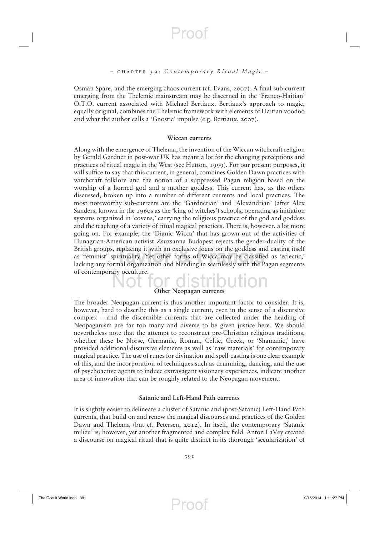#### *–* chapter 39: *Contemporary Ritual Magic –*

Osman Spare, and the emerging chaos current (cf. Evans, 2007). A final sub-current emerging from the Thelemic mainstream may be discerned in the 'Franco-Haitian' O.T.O. current associated with Michael Bertiaux. Bertiaux's approach to magic, equally original, combines the Thelemic framework with elements of Haitian voodoo and what the author calls a 'Gnostic' impulse (e.g. Bertiaux, 2007).

#### **Wiccan currents**

Along with the emergence of Thelema, the invention of the Wiccan witchcraft religion by Gerald Gardner in post-war UK has meant a lot for the changing perceptions and practices of ritual magic in the West (see Hutton, 1999). For our present purposes, it will suffice to say that this current, in general, combines Golden Dawn practices with witchcraft folklore and the notion of a suppressed Pagan religion based on the worship of a horned god and a mother goddess. This current has, as the others discussed, broken up into a number of different currents and local practices. The most noteworthy sub-currents are the 'Gardnerian' and 'Alexandrian' (after Alex Sanders, known in the 1960s as the 'king of witches') schools, operating as initiation systems organized in 'covens,' carrying the religious practice of the god and goddess and the teaching of a variety of ritual magical practices. There is, however, a lot more going on. For example, the 'Dianic Wicca' that has grown out of the activities of Hunagrian-American activist Zsuzsanna Budapest rejects the gender-duality of the British groups, replacing it with an exclusive focus on the goddess and casting itself as 'feminist' spirituality. Yet other forms of Wicca may be classified as 'eclectic,' lacking any formal organization and blending in seamlessly with the Pagan segments



The broader Neopagan current is thus another important factor to consider. It is, however, hard to describe this as a single current, even in the sense of a discursive complex – and the discernible currents that are collected under the heading of Neopaganism are far too many and diverse to be given justice here. We should nevertheless note that the attempt to reconstruct pre-Christian religious traditions, whether these be Norse, Germanic, Roman, Celtic, Greek, or 'Shamanic,' have provided additional discursive elements as well as 'raw materials' for contemporary magical practice. The use of runes for divination and spell-casting is one clear example of this, and the incorporation of techniques such as drumming, dancing, and the use of psychoactive agents to induce extravagant visionary experiences, indicate another area of innovation that can be roughly related to the Neopagan movement.

#### **Satanic and Left-Hand Path currents**

It is slightly easier to delineate a cluster of Satanic and (post-Satanic) Left-Hand Path currents, that build on and renew the magical discourses and practices of the Golden Dawn and Thelema (but cf. Petersen, 2012). In itself, the contemporary 'Satanic milieu' is, however, yet another fragmented and complex field. Anton LaVey created a discourse on magical ritual that is quite distinct in its thorough 'secularization' of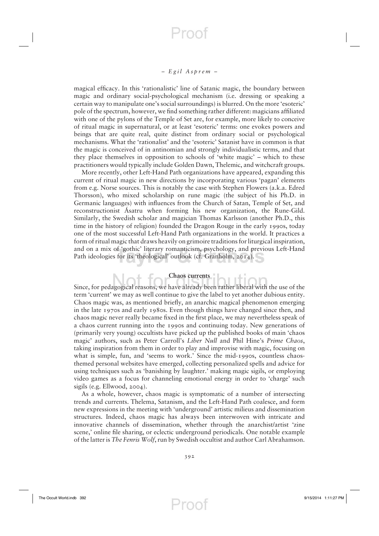magical efficacy. In this 'rationalistic' line of Satanic magic, the boundary between magic and ordinary social-psychological mechanism (i.e. dressing or speaking a certain way to manipulate one's social surroundings) is blurred. On the more 'esoteric' pole of the spectrum, however, we find something rather different: magicians affiliated with one of the pylons of the Temple of Set are, for example, more likely to conceive of ritual magic in supernatural, or at least 'esoteric' terms: one evokes powers and beings that are quite real, quite distinct from ordinary social or psychological mechanisms. What the 'rationalist' and the 'esoteric' Satanist have in common is that the magic is conceived of in antinomian and strongly individualistic terms, and that they place themselves in opposition to schools of 'white magic' – which to these practitioners would typically include Golden Dawn, Thelemic, and witchcraft groups.

More recently, other Left-Hand Path organizations have appeared, expanding this current of ritual magic in new directions by incorporating various 'pagan' elements from e.g. Norse sources. This is notably the case with Stephen Flowers (a.k.a. Edred Thorsson), who mixed scholarship on rune magic (the subject of his Ph.D. in Germanic languages) with influences from the Church of Satan, Temple of Set, and reconstructionist Ásatru when forming his new organization, the Rune-Gild. Similarly, the Swedish scholar and magician Thomas Karlsson (another Ph.D., this time in the history of religion) founded the Dragon Rouge in the early 1990s, today one of the most successful Left-Hand Path organizations in the world. It practices a form of ritual magic that draws heavily on grimoire traditions for liturgical inspiration, and on a mix of 'gothic' literary romanticism, psychology, and previous Left-Hand Path ideologies for its 'theological' outlook (cf. Granholm, 2014).

### Not fo <sup>Chaos currents **bution**</sup>

Since, for pedagogical reasons, we have already been rather liberal with the use of the term 'current' we may as well continue to give the label to yet another dubious entity. Chaos magic was, as mentioned briefly, an anarchic magical phenomenon emerging in the late 1970s and early 1980s. Even though things have changed since then, and chaos magic never really became fixed in the first place, we may nevertheless speak of a chaos current running into the 1990s and continuing today. New generations of (primarily very young) occultists have picked up the published books of main 'chaos magic' authors, such as Peter Carroll's *Liber Null* and Phil Hine's *Prime Chaos*, taking inspiration from them in order to play and improvise with magic, focusing on what is simple, fun, and 'seems to work.' Since the mid-1990s, countless chaosthemed personal websites have emerged, collecting personalized spells and advice for using techniques such as 'banishing by laughter.' making magic sigils, or employing video games as a focus for channeling emotional energy in order to 'charge' such sigils (e.g. Ellwood, 2004).

As a whole, however, chaos magic is symptomatic of a number of intersecting trends and currents. Thelema, Satanism, and the Left-Hand Path coalesce, and form new expressions in the meeting with 'underground' artistic milieus and dissemination structures. Indeed, chaos magic has always been interwoven with intricate and innovative channels of dissemination, whether through the anarchist/artist 'zine scene,' online file sharing, or eclectic underground periodicals. One notable example of the latter is *The Fenris Wolf*, run by Swedish occultist and author Carl Abrahamson.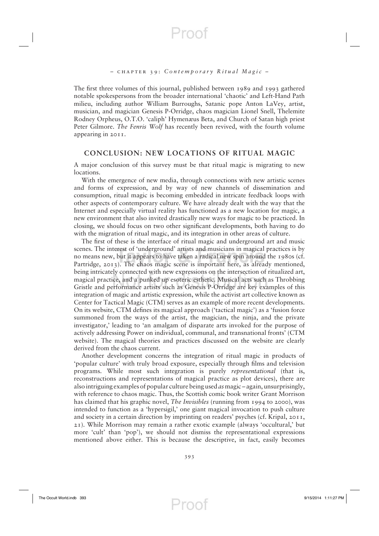The first three volumes of this journal, published between 1989 and 1993 gathered notable spokespersons from the broader international 'chaotic' and Left-Hand Path milieu, including author William Burroughs, Satanic pope Anton LaVey, artist, musician, and magician Genesis P-Orridge, chaos magician Lionel Snell, Thelemite Rodney Orpheus, O.T.O. 'caliph' Hymenæus Beta, and Church of Satan high priest Peter Gilmore. *The Fenris Wolf* has recently been revived, with the fourth volume appearing in 2011.

#### **CONCLUSION: NEW LOCATIONS OF RITUAL MAGIC**

A major conclusion of this survey must be that ritual magic is migrating to new locations.

With the emergence of new media, through connections with new artistic scenes and forms of expression, and by way of new channels of dissemination and consumption, ritual magic is becoming embedded in intricate feedback loops with other aspects of contemporary culture. We have already dealt with the way that the Internet and especially virtual reality has functioned as a new location for magic, a new environment that also invited drastically new ways for magic to be practiced. In closing, we should focus on two other significant developments, both having to do with the migration of ritual magic, and its integration in other areas of culture.

The first of these is the interface of ritual magic and underground art and music scenes. The interest of 'underground' artists and musicians in magical practices is by no means new, but it appears to have taken a radical new spin around the 1980s (cf. Partridge, 2013). The chaos magic scene is important here, as already mentioned, being intricately connected with new expressions on the intersection of ritualized art, magical practice, and a punked up esoteric esthetic. Musical acts such as Throbbing Gristle and performance artists such as Genesis P-Orridge are key examples of this integration of magic and artistic expression, while the activist art collective known as Center for Tactical Magic (CTM) serves as an example of more recent developments. On its website, CTM defines its magical approach ('tactical magic') as a 'fusion force summoned from the ways of the artist, the magician, the ninja, and the private investigator,' leading to 'an amalgam of disparate arts invoked for the purpose of actively addressing Power on individual, communal, and transnational fronts' (CTM website). The magical theories and practices discussed on the website are clearly derived from the chaos current.

Another development concerns the integration of ritual magic in products of 'popular culture' with truly broad exposure, especially through films and television programs. While most such integration is purely *representational* (that is, reconstructions and representations of magical practice as plot devices), there are also intriguing examples of popular culture being used *as* magic – again, unsurprisingly, with reference to chaos magic. Thus, the Scottish comic book writer Grant Morrison has claimed that his graphic novel, *The Invisibles* (running from 1994 to 2000), was intended to function as a 'hypersigil,' one giant magical invocation to push culture and society in a certain direction by imprinting on readers' psyches (cf. Kripal, 2011, 21). While Morrison may remain a rather exotic example (always 'occultural,' but more 'cult' than 'pop'), we should not dismiss the representational expressions mentioned above either. This is because the descriptive, in fact, easily becomes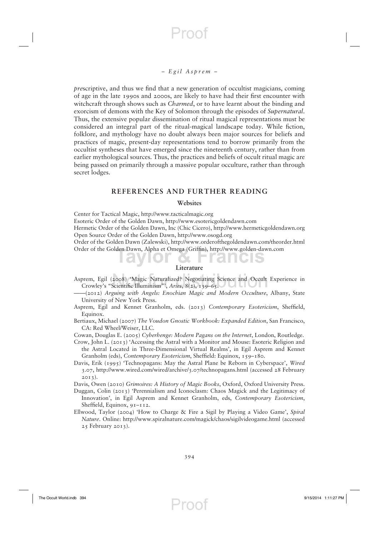*prescriptive, and thus we find that a new generation of occultist magicians, coming* of age in the late 1990s and 2000s, are likely to have had their first encounter with witchcraft through shows such as *Charmed*, or to have learnt about the binding and exorcism of demons with the Key of Solomon through the episodes of *Supernatural*. Thus, the extensive popular dissemination of ritual magical representations must be considered an integral part of the ritual-magical landscape today. While fiction, folklore, and mythology have no doubt always been major sources for beliefs and practices of magic, present-day representations tend to borrow primarily from the occultist syntheses that have emerged since the nineteenth century, rather than from earlier mythological sources. Thus, the practices and beliefs of occult ritual magic are being passed on primarily through a massive popular occulture, rather than through secret lodges.

#### **REFERENCES AND FURTHER READING**

#### **Websites**

Center for Tactical Magic, http://www.tacticalmagic.org

Esoteric Order of the Golden Dawn, http://www.esotericgoldendawn.com

Hermetic Order of the Golden Dawn, Inc (Chic Cicero), http://www.hermeticgoldendawn.org Open Source Order of the Golden Dawn, http://www.osogd.org

Order of the Golden Dawn (Zalewski), http://www.orderofthegoldendawn.com/theorder.html Order of the Golden Dawn, Alpha et Omega (Griffin), http://www.golden-dawn.com

#### **Literature**

- Asprem, Egil (2008) 'Magic Naturalized? Negotiating Science and Occult Experience in Crowley's "Scientific Illuminism"', Aries, 8(2), 139-65.
- ——(2012) *Arguing with Angels: Enochian Magic and Modern Occulture*, Albany, State University of New York Press.
- Asprem, Egil and Kennet Granholm, eds. (2013) Contemporary Esotericism, Sheffield, Equinox.
- Bertiaux, Michael (2007) *The Voudon Gnostic Workbook: Expanded Edition*, San Francisco, CA: Red Wheel/Weiser, LLC.
- Cowan, Douglas E. (2005) *Cyberhenge: Modern Pagans on the Internet*, London, Routledge.
- Crow, John L. (2013) 'Accessing the Astral with a Monitor and Mouse: Esoteric Religion and the Astral Located in Three-Dimensional Virtual Realms', in Egil Asprem and Kennet Granholm (eds), Contemporary Esotericism, Sheffield: Equinox, 159-180.
- Davis, Erik (1995) 'Technopagans: May the Astral Plane be Reborn in Cyberspace', *Wired* 3.07, http://www.wired.com/wired/archive/3.07/technopagans.html (accessed 28 February 2013).

Davis, Owen (2010) *Grimoires: A History of Magic Books*, Oxford, Oxford University Press.

- Duggan, Colin (2013) 'Perennialism and Iconoclasm: Chaos Magick and the Legitimacy of Innovation', in Egil Asprem and Kennet Granholm, eds, *Contemporary Esotericism*, Sheffield, Equinox, 91-112.
- Ellwood, Taylor (2004) 'How to Charge & Fire a Sigil by Playing a Video Game', *Spiral Nature*. Online: http://www.spiralnature.com/magick/chaos/sigilvideogame.html (accessed 25 February 2013).